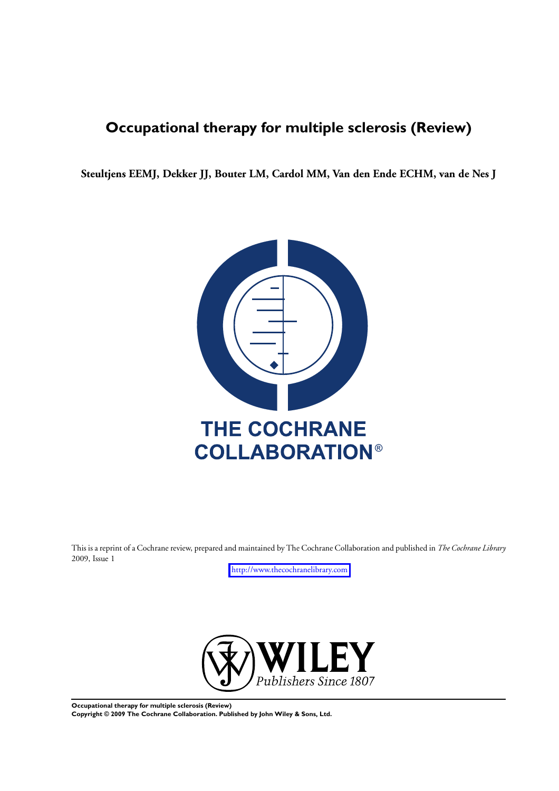# **Occupational therapy for multiple sclerosis (Review)**

**Steultjens EEMJ, Dekker JJ, Bouter LM, Cardol MM, Van den Ende ECHM, van de Nes J**



This is a reprint of a Cochrane review, prepared and maintained by The Cochrane Collaboration and published in *The Cochrane Library* 2009, Issue 1

<http://www.thecochranelibrary.com>



**Occupational therapy for multiple sclerosis (Review)**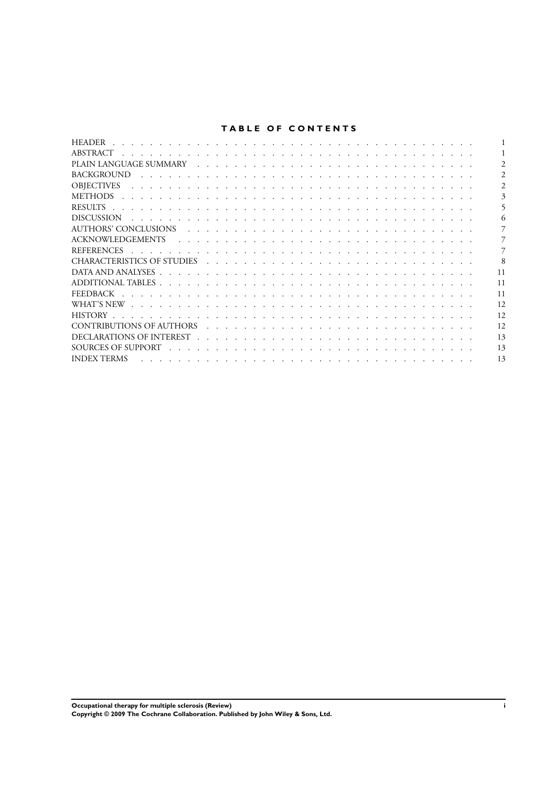# **TABLE OF CONTENTS**

| <b>HEADER</b>                                                                                                                                                                                                                                      |    |
|----------------------------------------------------------------------------------------------------------------------------------------------------------------------------------------------------------------------------------------------------|----|
| ABSTRACT                                                                                                                                                                                                                                           |    |
|                                                                                                                                                                                                                                                    |    |
| <b>BACKGROUND</b>                                                                                                                                                                                                                                  |    |
| <b>OBJECTIVES</b>                                                                                                                                                                                                                                  |    |
| <b>METHODS</b>                                                                                                                                                                                                                                     |    |
| <b>RESULTS</b>                                                                                                                                                                                                                                     |    |
| <b>DISCUSSION</b><br>the contract of the contract of the contract of the contract of the contract of the contract of the contract of                                                                                                               |    |
|                                                                                                                                                                                                                                                    |    |
| <b>ACKNOWLEDGEMENTS</b>                                                                                                                                                                                                                            |    |
| <b>REFERENCES</b><br>a constitution of the constitution of the constitution of the constitution of the constitution of the constitution of the constitution of the constitution of the constitution of the constitution of the constitution of the |    |
| CHARACTERISTICS OF STUDIES                                                                                                                                                                                                                         |    |
|                                                                                                                                                                                                                                                    | 11 |
|                                                                                                                                                                                                                                                    | 11 |
| <b>FEEDBACK</b>                                                                                                                                                                                                                                    | 11 |
| WHAT'S NEW                                                                                                                                                                                                                                         | 12 |
| <b>HISTORY</b>                                                                                                                                                                                                                                     | 12 |
| CONTRIBUTIONS OF AUTHORS                                                                                                                                                                                                                           | 12 |
|                                                                                                                                                                                                                                                    | 13 |
|                                                                                                                                                                                                                                                    | 13 |
| <b>INDEX TERMS</b>                                                                                                                                                                                                                                 | 13 |
|                                                                                                                                                                                                                                                    |    |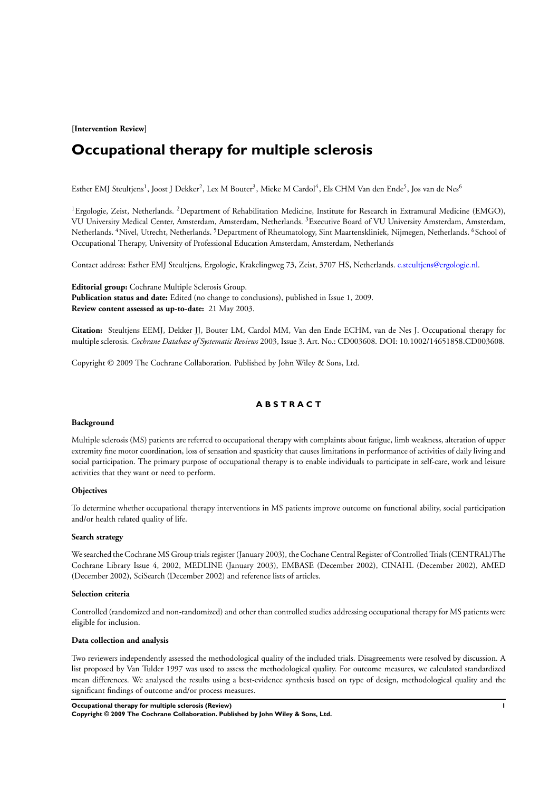**[Intervention Review]**

# **Occupational therapy for multiple sclerosis**

Esther EMJ Steultjens<sup>1</sup>, Joost J Dekker<sup>2</sup>, Lex M Bouter<sup>3</sup>, Mieke M Cardol<sup>4</sup>, Els CHM Van den Ende<sup>5</sup>, Jos van de Nes<sup>6</sup>

<sup>1</sup>Ergologie, Zeist, Netherlands. <sup>2</sup>Department of Rehabilitation Medicine, Institute for Research in Extramural Medicine (EMGO), VU University Medical Center, Amsterdam, Amsterdam, Netherlands. <sup>3</sup>Executive Board of VU University Amsterdam, Amsterdam, Netherlands. <sup>4</sup>Nivel, Utrecht, Netherlands. <sup>5</sup>Department of Rheumatology, Sint Maartenskliniek, Nijmegen, Netherlands. <sup>6</sup>School of Occupational Therapy, University of Professional Education Amsterdam, Amsterdam, Netherlands

Contact address: Esther EMJ Steultjens, Ergologie, Krakelingweg 73, Zeist, 3707 HS, Netherlands. [e.steultjens@ergologie.nl.](mailto:e.steultjens@ergologie.nl)

**Editorial group:** Cochrane Multiple Sclerosis Group. **Publication status and date:** Edited (no change to conclusions), published in Issue 1, 2009. **Review content assessed as up-to-date:** 21 May 2003.

**Citation:** Steultjens EEMJ, Dekker JJ, Bouter LM, Cardol MM, Van den Ende ECHM, van de Nes J. Occupational therapy for multiple sclerosis. *Cochrane Database of Systematic Reviews* 2003, Issue 3. Art. No.: CD003608. DOI: 10.1002/14651858.CD003608.

Copyright © 2009 The Cochrane Collaboration. Published by John Wiley & Sons, Ltd.

# **A B S T R A C T**

#### **Background**

Multiple sclerosis (MS) patients are referred to occupational therapy with complaints about fatigue, limb weakness, alteration of upper extremity fine motor coordination, loss of sensation and spasticity that causes limitations in performance of activities of daily living and social participation. The primary purpose of occupational therapy is to enable individuals to participate in self-care, work and leisure activities that they want or need to perform.

# **Objectives**

To determine whether occupational therapy interventions in MS patients improve outcome on functional ability, social participation and/or health related quality of life.

#### **Search strategy**

We searched the Cochrane MS Group trials register (January 2003), the Cochane Central Register of Controlled Trials (CENTRAL)The Cochrane Library Issue 4, 2002, MEDLINE (January 2003), EMBASE (December 2002), CINAHL (December 2002), AMED (December 2002), SciSearch (December 2002) and reference lists of articles.

## **Selection criteria**

Controlled (randomized and non-randomized) and other than controlled studies addressing occupational therapy for MS patients were eligible for inclusion.

#### **Data collection and analysis**

Two reviewers independently assessed the methodological quality of the included trials. Disagreements were resolved by discussion. A list proposed by Van Tulder 1997 was used to assess the methodological quality. For outcome measures, we calculated standardized mean differences. We analysed the results using a best-evidence synthesis based on type of design, methodological quality and the significant findings of outcome and/or process measures.

**Occupational therapy for multiple sclerosis (Review) 1**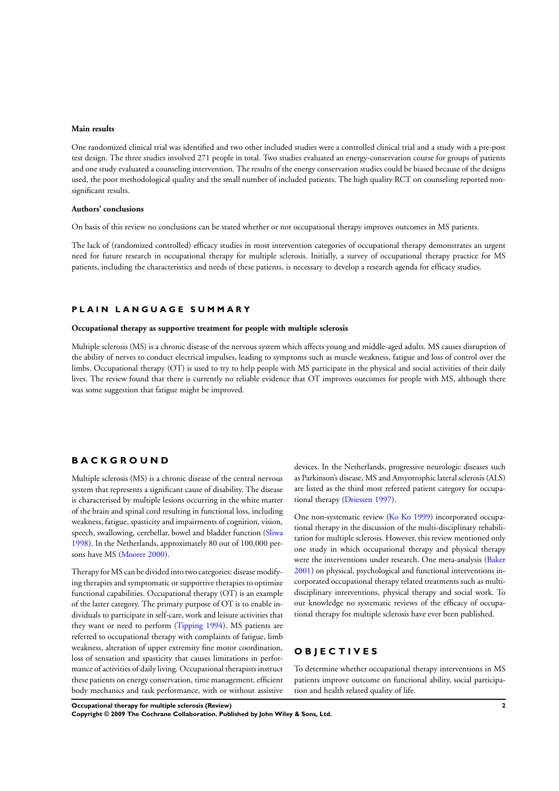# **Main results**

One randomized clinical trial was identified and two other included studies were a controlled clinical trial and a study with a pre-post test design. The three studies involved 271 people in total. Two studies evaluated an energy-conservation course for groups of patients and one study evaluated a counseling intervention. The results of the energy conservation studies could be biased because of the designs used, the poor methodological quality and the small number of included patients. The high quality RCT on counseling reported nonsignificant results.

#### **Authors' conclusions**

On basis of this review no conclusions can be stated whether or not occupational therapy improves outcomes in MS patients.

The lack of (randomized controlled) efficacy studies in most intervention categories of occupational therapy demonstrates an urgent need for future research in occupational therapy for multiple sclerosis. Initially, a survey of occupational therapy practice for MS patients, including the characteristics and needs of these patients, is necessary to develop a research agenda for efficacy studies.

# **P L A I N L A N G U A G E S U M M A R Y**

#### **Occupational therapy as supportive treatment for people with multiple sclerosis**

Multiple sclerosis (MS) is a chronic disease of the nervous system which affects young and middle-aged adults. MS causes disruption of the ability of nerves to conduct electrical impulses, leading to symptoms such as muscle weakness, fatigue and loss of control over the limbs. Occupational therapy (OT) is used to try to help people with MS participate in the physical and social activities of their daily lives. The review found that there is currently no reliable evidence that OT improves outcomes for people with MS, although there was some suggestion that fatigue might be improved.

# **B A C K G R O U N D**

Multiple sclerosis (MS) is a chronic disease of the central nervous system that represents a significant cause of disability. The disease is characterised by multiple lesions occurring in the white matter of the brain and spinal cord resulting in functional loss, including weakness, fatigue, spasticity and impairments of cognition, vision, speech, swallowing, cerebellar, bowel and bladder function ([Sliwa](#page-8-0) [1998](#page-8-0)). In the Netherlands, approximately 80 out of 100,000 persons have MS [\(Moorer 2000](#page-8-0)).

Therapy forMS can be divided into two categories: disease modifying therapies and symptomatic or supportive therapies to optimize functional capabilities. Occupational therapy (OT) is an example of the latter category. The primary purpose of OT is to enable individuals to participate in self-care, work and leisure activities that they want or need to perform [\(Tipping 1994](#page-8-0)). MS patients are referred to occupational therapy with complaints of fatigue, limb weakness, alteration of upper extremity fine motor coordination, loss of sensation and spasticity that causes limitations in performance of activities of daily living. Occupational therapists instruct these patients on energy conservation, time management, efficient body mechanics and task performance, with or without assistive devices. In the Netherlands, progressive neurologic diseases such as Parkinson's disease, MS and Amyotrophic lateral sclerosis (ALS) are listed as the third most referred patient category for occupational therapy ([Driessen 1997\)](#page-8-0).

One non-systematic review [\(Ko Ko 1999](#page-8-0)) incorporated occupational therapy in the discussion of the multi-disciplinary rehabilitation for multiple sclerosis. However, this review mentioned only one study in which occupational therapy and physical therapy were the interventions under research. One meta-analysis [\(Baker](#page-8-0) [2001](#page-8-0)) on physical, psychological and functional interventions incorporated occupational therapy related treatments such as multidisciplinary interventions, physical therapy and social work. To our knowledge no systematic reviews of the efficacy of occupational therapy for multiple sclerosis have ever been published.

# **O B J E C T I V E S**

To determine whether occupational therapy interventions in MS patients improve outcome on functional ability, social participation and health related quality of life.

**Occupational therapy for multiple sclerosis (Review) 2**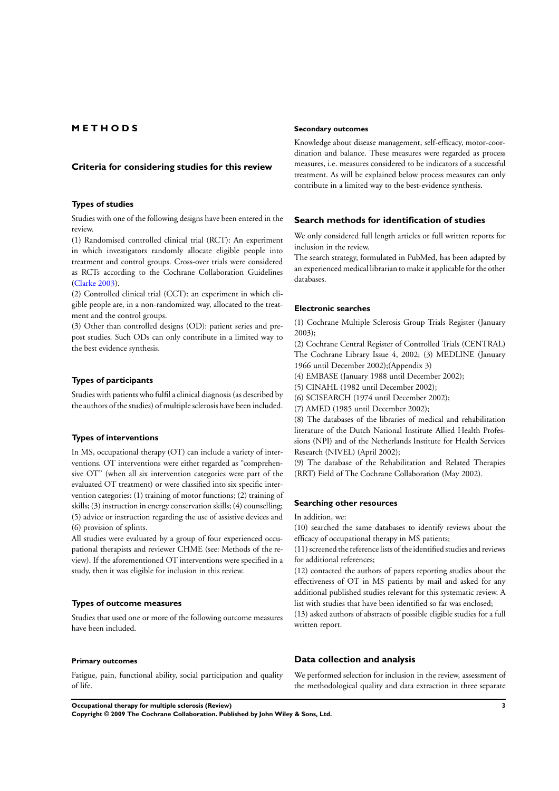# **M E T H O D S**

#### **Criteria for considering studies for this review**

#### **Types of studies**

Studies with one of the following designs have been entered in the review.

(1) Randomised controlled clinical trial (RCT): An experiment in which investigators randomly allocate eligible people into treatment and control groups. Cross-over trials were considered as RCTs according to the Cochrane Collaboration Guidelines [\(Clarke 2003](#page-8-0)).

(2) Controlled clinical trial (CCT): an experiment in which eligible people are, in a non-randomized way, allocated to the treatment and the control groups.

(3) Other than controlled designs (OD): patient series and prepost studies. Such ODs can only contribute in a limited way to the best evidence synthesis.

# **Types of participants**

Studies with patients who fulfil a clinical diagnosis (as described by the authors of the studies) of multiple sclerosis have been included.

## **Types of interventions**

In MS, occupational therapy (OT) can include a variety of interventions. OT interventions were either regarded as "comprehensive OT" (when all six intervention categories were part of the evaluated OT treatment) or were classified into six specific intervention categories: (1) training of motor functions; (2) training of skills; (3) instruction in energy conservation skills; (4) counselling; (5) advice or instruction regarding the use of assistive devices and (6) provision of splints.

All studies were evaluated by a group of four experienced occupational therapists and reviewer CHME (see: Methods of the review). If the aforementioned OT interventions were specified in a study, then it was eligible for inclusion in this review.

# **Types of outcome measures**

Studies that used one or more of the following outcome measures have been included.

#### **Primary outcomes**

Fatigue, pain, functional ability, social participation and quality of life.

#### **Secondary outcomes**

Knowledge about disease management, self-efficacy, motor-coordination and balance. These measures were regarded as process measures, i.e. measures considered to be indicators of a successful treatment. As will be explained below process measures can only contribute in a limited way to the best-evidence synthesis.

# **Search methods for identification of studies**

We only considered full length articles or full written reports for inclusion in the review.

The search strategy, formulated in PubMed, has been adapted by an experienced medical librarian to make it applicable for the other databases.

#### **Electronic searches**

(1) Cochrane Multiple Sclerosis Group Trials Register (January 2003);

(2) Cochrane Central Register of Controlled Trials (CENTRAL) The Cochrane Library Issue 4, 2002; (3) MEDLINE (January 1966 until December 2002);(Appendix 3)

(4) EMBASE (January 1988 until December 2002);

(5) CINAHL (1982 until December 2002);

(6) SCISEARCH (1974 until December 2002);

(7) AMED (1985 until December 2002);

(8) The databases of the libraries of medical and rehabilitation literature of the Dutch National Institute Allied Health Professions (NPI) and of the Netherlands Institute for Health Services Research (NIVEL) (April 2002);

(9) The database of the Rehabilitation and Related Therapies (RRT) Field of The Cochrane Collaboration (May 2002).

#### **Searching other resources**

In addition, we:

(10) searched the same databases to identify reviews about the efficacy of occupational therapy in MS patients;

(11) screened the reference lists of the identified studies and reviews for additional references;

(12) contacted the authors of papers reporting studies about the effectiveness of OT in MS patients by mail and asked for any additional published studies relevant for this systematic review. A list with studies that have been identified so far was enclosed;

(13) asked authors of abstracts of possible eligible studies for a full written report.

### **Data collection and analysis**

We performed selection for inclusion in the review, assessment of the methodological quality and data extraction in three separate

**Occupational therapy for multiple sclerosis (Review) 3**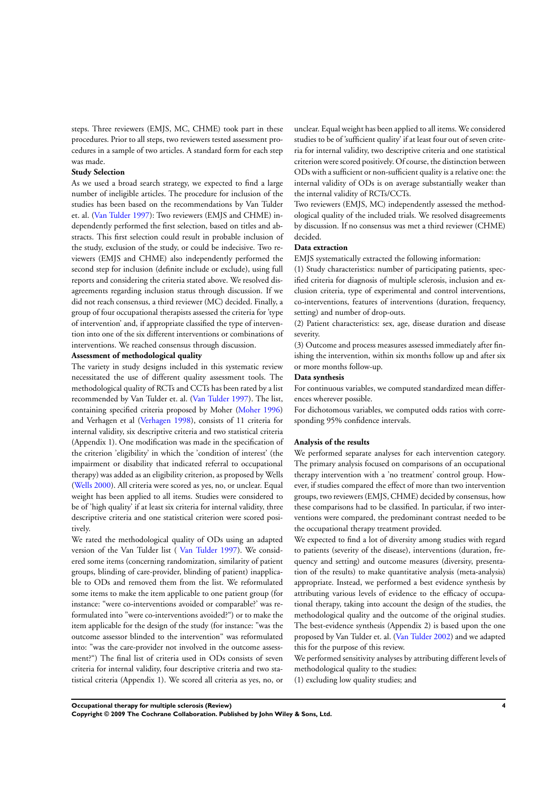steps. Three reviewers (EMJS, MC, CHME) took part in these procedures. Prior to all steps, two reviewers tested assessment procedures in a sample of two articles. A standard form for each step was made.

### **Study Selection**

As we used a broad search strategy, we expected to find a large number of ineligible articles. The procedure for inclusion of the studies has been based on the recommendations by Van Tulder et. al. [\(Van Tulder 1997](#page-8-0)): Two reviewers (EMJS and CHME) independently performed the first selection, based on titles and abstracts. This first selection could result in probable inclusion of the study, exclusion of the study, or could be indecisive. Two reviewers (EMJS and CHME) also independently performed the second step for inclusion (definite include or exclude), using full reports and considering the criteria stated above. We resolved disagreements regarding inclusion status through discussion. If we did not reach consensus, a third reviewer (MC) decided. Finally, a group of four occupational therapists assessed the criteria for 'type of intervention' and, if appropriate classified the type of intervention into one of the six different interventions or combinations of interventions. We reached consensus through discussion.

### **Assessment of methodological quality**

The variety in study designs included in this systematic review necessitated the use of different quality assessment tools. The methodological quality of RCTs and CCTs has been rated by a list recommended by Van Tulder et. al. [\(Van Tulder 1997](#page-8-0)). The list, containing specified criteria proposed by Moher ([Moher 1996](#page-8-0)) and Verhagen et al ([Verhagen 1998](#page-8-0)), consists of 11 criteria for internal validity, six descriptive criteria and two statistical criteria (Appendix 1). One modification was made in the specification of the criterion 'eligibility' in which the 'condition of interest' (the impairment or disability that indicated referral to occupational therapy) was added as an eligibility criterion, as proposed by Wells [\(Wells 2000](#page-8-0)). All criteria were scored as yes, no, or unclear. Equal weight has been applied to all items. Studies were considered to be of 'high quality' if at least six criteria for internal validity, three descriptive criteria and one statistical criterion were scored positively.

We rated the methodological quality of ODs using an adapted version of the Van Tulder list ( [Van Tulder 1997\)](#page-8-0). We considered some items (concerning randomization, similarity of patient groups, blinding of care-provider, blinding of patient) inapplicable to ODs and removed them from the list. We reformulated some items to make the item applicable to one patient group (for instance: "were co-interventions avoided or comparable?' was reformulated into "were co-interventions avoided?") or to make the item applicable for the design of the study (for instance: "was the outcome assessor blinded to the intervention" was reformulated into: "was the care-provider not involved in the outcome assessment?") The final list of criteria used in ODs consists of seven criteria for internal validity, four descriptive criteria and two statistical criteria (Appendix 1). We scored all criteria as yes, no, or unclear. Equal weight has been applied to all items. We considered studies to be of 'sufficient quality' if at least four out of seven criteria for internal validity, two descriptive criteria and one statistical criterion were scored positively. Of course, the distinction between ODs with a sufficient or non-sufficient quality is a relative one: the internal validity of ODs is on average substantially weaker than the internal validity of RCTs/CCTs.

Two reviewers (EMJS, MC) independently assessed the methodological quality of the included trials. We resolved disagreements by discussion. If no consensus was met a third reviewer (CHME) decided.

#### **Data extraction**

EMJS systematically extracted the following information:

(1) Study characteristics: number of participating patients, specified criteria for diagnosis of multiple sclerosis, inclusion and exclusion criteria, type of experimental and control interventions, co-interventions, features of interventions (duration, frequency, setting) and number of drop-outs.

(2) Patient characteristics: sex, age, disease duration and disease severity.

(3) Outcome and process measures assessed immediately after finishing the intervention, within six months follow up and after six or more months follow-up.

#### **Data synthesis**

For continuous variables, we computed standardized mean differences wherever possible.

For dichotomous variables, we computed odds ratios with corresponding 95% confidence intervals.

#### **Analysis of the results**

We performed separate analyses for each intervention category. The primary analysis focused on comparisons of an occupational therapy intervention with a 'no treatment' control group. However, if studies compared the effect of more than two intervention groups, two reviewers (EMJS, CHME) decided by consensus, how these comparisons had to be classified. In particular, if two interventions were compared, the predominant contrast needed to be the occupational therapy treatment provided.

We expected to find a lot of diversity among studies with regard to patients (severity of the disease), interventions (duration, frequency and setting) and outcome measures (diversity, presentation of the results) to make quantitative analysis (meta-analysis) appropriate. Instead, we performed a best evidence synthesis by attributing various levels of evidence to the efficacy of occupational therapy, taking into account the design of the studies, the methodological quality and the outcome of the original studies. The best-evidence synthesis (Appendix 2) is based upon the one proposed by Van Tulder et. al. [\(Van Tulder 2002\)](#page-8-0) and we adapted this for the purpose of this review.

We performed sensitivity analyses by attributing different levels of methodological quality to the studies:

(1) excluding low quality studies; and

**Occupational therapy for multiple sclerosis (Review) 4**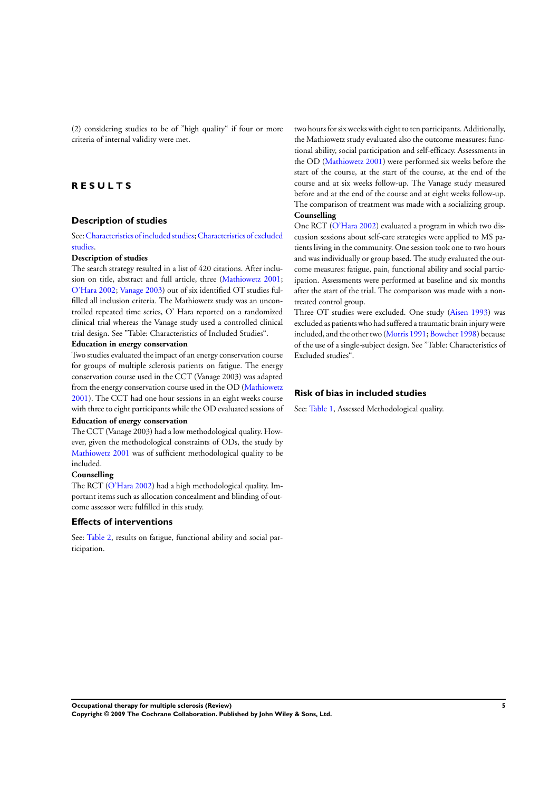(2) considering studies to be of "high quality" if four or more criteria of internal validity were met.

# **R E S U L T S**

# **Description of studies**

See:[Characteristics of included studies;](#page-10-0)[Characteristics of excluded](#page-11-0) [studies.](#page-11-0)

#### **Description of studies**

The search strategy resulted in a list of 420 citations. After inclusion on title, abstract and full article, three [\(Mathiowetz 2001;](#page-8-0) [O'Hara 2002](#page-8-0); [Vanage 2003\)](#page-8-0) out of six identified OT studies fulfilled all inclusion criteria. The Mathiowetz study was an uncontrolled repeated time series, O' Hara reported on a randomized clinical trial whereas the Vanage study used a controlled clinical trial design. See "Table: Characteristics of Included Studies".

# **Education in energy conservation**

Two studies evaluated the impact of an energy conservation course for groups of multiple sclerosis patients on fatigue. The energy conservation course used in the CCT (Vanage 2003) was adapted from the energy conservation course used in the OD ([Mathiowetz](#page-8-0) [2001](#page-8-0)). The CCT had one hour sessions in an eight weeks course with three to eight participants while the OD evaluated sessions of

### **Education of energy conservation**

The CCT (Vanage 2003) had a low methodological quality. However, given the methodological constraints of ODs, the study by [Mathiowetz 2001](#page-8-0) was of sufficient methodological quality to be included.

#### **Counselling**

The RCT ([O'Hara 2002\)](#page-8-0) had a high methodological quality. Important items such as allocation concealment and blinding of outcome assessor were fulfilled in this study.

### **Effects of interventions**

See: [Table 2](#page-12-0), results on fatigue, functional ability and social participation.

two hours for six weeks with eight to ten participants. Additionally, the Mathiowetz study evaluated also the outcome measures: functional ability, social participation and self-efficacy. Assessments in the OD ([Mathiowetz 2001](#page-8-0)) were performed six weeks before the start of the course, at the start of the course, at the end of the course and at six weeks follow-up. The Vanage study measured before and at the end of the course and at eight weeks follow-up. The comparison of treatment was made with a socializing group. **Counselling**

One RCT ([O'Hara 2002](#page-8-0)) evaluated a program in which two discussion sessions about self-care strategies were applied to MS patients living in the community. One session took one to two hours and was individually or group based. The study evaluated the outcome measures: fatigue, pain, functional ability and social participation. Assessments were performed at baseline and six months after the start of the trial. The comparison was made with a nontreated control group.

Three OT studies were excluded. One study [\(Aisen 1993](#page-8-0)) was excluded as patients who had suffered a traumatic brain injury were included, and the other two ([Morris 1991;](#page-8-0) [Bowcher 1998](#page-8-0)) because of the use of a single-subject design. See "Table: Characteristics of Excluded studies".

### **Risk of bias in included studies**

See: [Table 1,](#page-12-0) Assessed Methodological quality.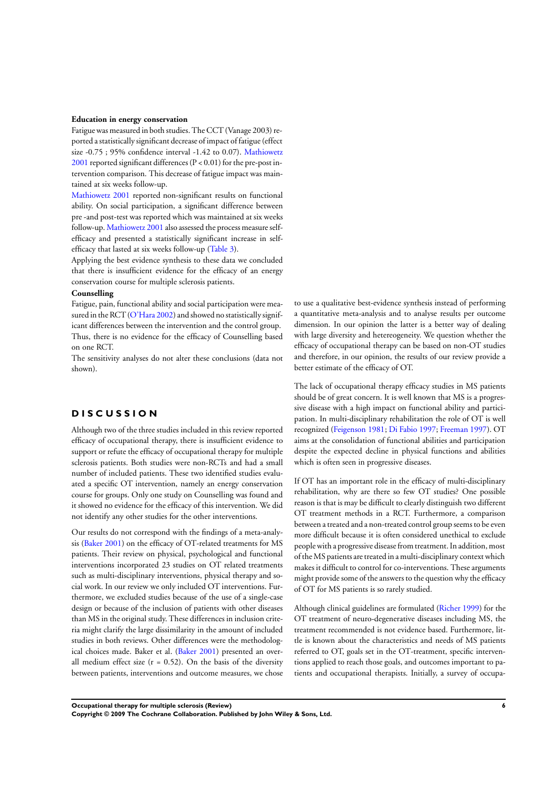#### **Education in energy conservation**

Fatigue was measured in both studies. The CCT (Vanage 2003) reported a statistically significant decrease of impact of fatigue(effect size -0.75 ; 95% confidence interval -1.42 to 0.07). [Mathiowetz](#page-8-0)  $2001$  reported significant differences ( $P < 0.01$ ) for the pre-post intervention comparison. This decrease of fatigue impact was maintained at six weeks follow-up.

[Mathiowetz 2001](#page-8-0) reported non-significant results on functional ability. On social participation, a significant difference between pre -and post-test was reported which was maintained at six weeks follow-up. [Mathiowetz 2001](#page-8-0) also assessed the process measure selfefficacy and presented a statistically significant increase in selfefficacy that lasted at six weeks follow-up [\(Table 3](#page-12-0)).

Applying the best evidence synthesis to these data we concluded that there is insufficient evidence for the efficacy of an energy conservation course for multiple sclerosis patients.

### **Counselling**

Fatigue, pain, functional ability and social participation were mea-sured in the RCT [\(O'Hara 2002](#page-8-0)) and showed no statistically significant differences between the intervention and the control group. Thus, there is no evidence for the efficacy of Counselling based on one RCT.

The sensitivity analyses do not alter these conclusions (data not shown).

## **D I S C U S S I O N**

Although two of the three studies included in this review reported efficacy of occupational therapy, there is insufficient evidence to support or refute the efficacy of occupational therapy for multiple sclerosis patients. Both studies were non-RCTs and had a small number of included patients. These two identified studies evaluated a specific OT intervention, namely an energy conservation course for groups. Only one study on Counselling was found and it showed no evidence for the efficacy of this intervention. We did not identify any other studies for the other interventions.

Our results do not correspond with the findings of a meta-analysis [\(Baker 2001\)](#page-8-0) on the efficacy of OT-related treatments for MS patients. Their review on physical, psychological and functional interventions incorporated 23 studies on OT related treatments such as multi-disciplinary interventions, physical therapy and social work. In our review we only included OT interventions. Furthermore, we excluded studies because of the use of a single-case design or because of the inclusion of patients with other diseases than MS in the original study. These differences in inclusion criteria might clarify the large dissimilarity in the amount of included studies in both reviews. Other differences were the methodological choices made. Baker et al. [\(Baker 2001](#page-8-0)) presented an overall medium effect size  $(r = 0.52)$ . On the basis of the diversity between patients, interventions and outcome measures, we chose to use a qualitative best-evidence synthesis instead of performing a quantitative meta-analysis and to analyse results per outcome dimension. In our opinion the latter is a better way of dealing with large diversity and hetereogeneity. We question whether the efficacy of occupational therapy can be based on non-OT studies and therefore, in our opinion, the results of our review provide a better estimate of the efficacy of OT.

The lack of occupational therapy efficacy studies in MS patients should be of great concern. It is well known that MS is a progressive disease with a high impact on functional ability and participation. In multi-disciplinary rehabilitation the role of OT is well recognized ([Feigenson 1981;](#page-8-0) [Di Fabio 1997](#page-8-0); [Freeman 1997](#page-8-0)). OT aims at the consolidation of functional abilities and participation despite the expected decline in physical functions and abilities which is often seen in progressive diseases.

If OT has an important role in the efficacy of multi-disciplinary rehabilitation, why are there so few OT studies? One possible reason is that is may be difficult to clearly distinguish two different OT treatment methods in a RCT. Furthermore, a comparison between a treated and a non-treated control group seems to be even more difficult because it is often considered unethical to exclude people with a progressive disease from treatment. In addition, most of theMS patients are treated in a multi-disciplinary context which makes it difficult to control for co-interventions. These arguments might provide some of the answers to the question why the efficacy of OT for MS patients is so rarely studied.

Although clinical guidelines are formulated [\(Richer 1999](#page-8-0)) for the OT treatment of neuro-degenerative diseases including MS, the treatment recommended is not evidence based. Furthermore, little is known about the characteristics and needs of MS patients referred to OT, goals set in the OT-treatment, specific interventions applied to reach those goals, and outcomes important to patients and occupational therapists. Initially, a survey of occupa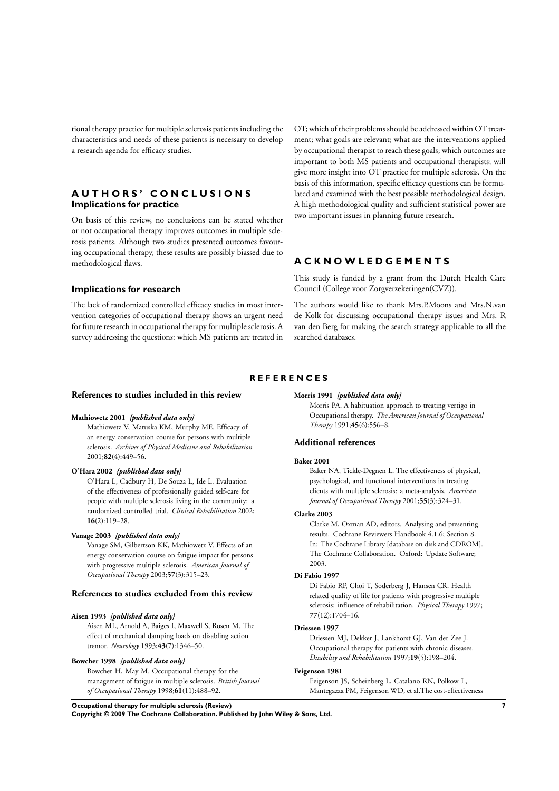<span id="page-8-0"></span>tional therapy practice for multiple sclerosis patients including the characteristics and needs of these patients is necessary to develop a research agenda for efficacy studies.

# **A U T H O R S ' C O N C L U S I O N S Implications for practice**

On basis of this review, no conclusions can be stated whether or not occupational therapy improves outcomes in multiple sclerosis patients. Although two studies presented outcomes favouring occupational therapy, these results are possibly biassed due to methodological flaws.

OT; which of their problems should be addressed within OT treatment; what goals are relevant; what are the interventions applied by occupational therapist to reach these goals; which outcomes are important to both MS patients and occupational therapists; will give more insight into OT practice for multiple sclerosis. On the basis of this information, specific efficacy questions can be formulated and examined with the best possible methodological design. A high methodological quality and sufficient statistical power are two important issues in planning future research.

# **A C K N O W L E D G E M E N T S**

**Implications for research**

The lack of randomized controlled efficacy studies in most intervention categories of occupational therapy shows an urgent need for future research in occupational therapy for multiple sclerosis. A survey addressing the questions: which MS patients are treated in This study is funded by a grant from the Dutch Health Care Council (College voor Zorgverzekeringen(CVZ)).

The authors would like to thank Mrs.P.Moons and Mrs.N.van de Kolk for discussing occupational therapy issues and Mrs. R van den Berg for making the search strategy applicable to all the searched databases.

# **R E F E R E N C E S**

# **References to studies included in this review**

### **Mathiowetz 2001** *{published data only}*

Mathiowetz V, Matuska KM, Murphy ME. Efficacy of an energy conservation course for persons with multiple sclerosis. *Archives of Physical Medicine and Rehabilitation* 2001;**82**(4):449–56.

#### **O'Hara 2002** *{published data only}*

O'Hara L, Cadbury H, De Souza L, Ide L. Evaluation of the effectiveness of professionally guided self-care for people with multiple sclerosis living in the community: a randomized controlled trial. *Clinical Rehabilitation* 2002; **16**(2):119–28.

# **Vanage 2003** *{published data only}*

Vanage SM, Gilbertson KK, Mathiowetz V. Effects of an energy conservation course on fatigue impact for persons with progressive multiple sclerosis. *American Journal of Occupational Therapy* 2003;**57**(3):315–23.

# **References to studies excluded from this review**

#### **Aisen 1993** *{published data only}*

Aisen ML, Arnold A, Baiges I, Maxwell S, Rosen M. The effect of mechanical damping loads on disabling action tremor. *Neurology* 1993;**43**(7):1346–50.

#### **Bowcher 1998** *{published data only}*

Bowcher H, May M. Occupational therapy for the management of fatigue in multiple sclerosis. *British Journal of Occupational Therapy* 1998;**61**(11):488–92.

### **Morris 1991** *{published data only}*

Morris PA. A habituation approach to treating vertigo in Occupational therapy. *The American Journal of Occupational Therapy* 1991;**45**(6):556–8.

#### **Additional references**

#### **Baker 2001**

Baker NA, Tickle-Degnen L. The effectiveness of physical, psychological, and functional interventions in treating clients with multiple sclerosis: a meta-analysis. *American Journal of Occupational Therapy* 2001;**55**(3):324–31.

#### **Clarke 2003**

Clarke M, Oxman AD, editors. Analysing and presenting results. Cochrane Reviewers Handbook 4.1.6; Section 8. In: The Cochrane Library [database on disk and CDROM]. The Cochrane Collaboration. Oxford: Update Software; 2003.

#### **Di Fabio 1997**

Di Fabio RP, Choi T, Soderberg J, Hansen CR. Health related quality of life for patients with progressive multiple sclerosis: influence of rehabilitation. *Physical Therapy* 1997; **77**(12):1704–16.

#### **Driessen 1997**

Driessen MJ, Dekker J, Lankhorst GJ, Van der Zee J. Occupational therapy for patients with chronic diseases. *Disability and Rehabilitation* 1997;**19**(5):198–204.

# **Feigenson 1981**

Feigenson JS, Scheinberg L, Catalano RN, Polkow L, Mantegazza PM, Feigenson WD, et al.The cost-effectiveness

**Occupational therapy for multiple sclerosis (Review) 7**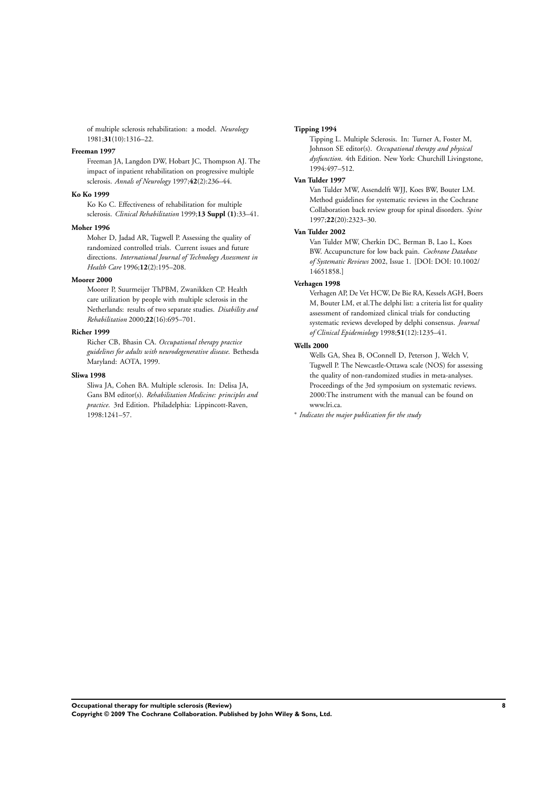of multiple sclerosis rehabilitation: a model. *Neurology* 1981;**31**(10):1316–22.

### **Freeman 1997**

Freeman JA, Langdon DW, Hobart JC, Thompson AJ. The impact of inpatient rehabilitation on progressive multiple sclerosis. *Annals of Neurology* 1997;**42**(2):236–44.

# **Ko Ko 1999**

Ko Ko C. Effectiveness of rehabilitation for multiple sclerosis. *Clinical Rehabilitation* 1999;**13 Suppl (1)**:33–41.

#### **Moher 1996**

Moher D, Jadad AR, Tugwell P. Assessing the quality of randomized controlled trials. Current issues and future directions. *International Journal of Technology Assessment in Health Care* 1996;**12**(2):195–208.

#### **Moorer 2000**

Moorer P, Suurmeijer ThPBM, Zwanikken CP. Health care utilization by people with multiple sclerosis in the Netherlands: results of two separate studies. *Disability and Rehabilitation* 2000;**22**(16):695–701.

#### **Richer 1999**

Richer CB, Bhasin CA. *Occupational therapy practice guidelines for adults with neurodegenerative disease*. Bethesda Maryland: AOTA, 1999.

# **Sliwa 1998**

Sliwa JA, Cohen BA. Multiple sclerosis. In: Delisa JA, Gans BM editor(s). *Rehabilitation Medicine: principles and practice*. 3rd Edition. Philadelphia: Lippincott-Raven, 1998:1241–57.

#### **Tipping 1994**

Tipping L. Multiple Sclerosis. In: Turner A, Foster M, Johnson SE editor(s). *Occupational therapy and physical dysfunction*. 4th Edition. New York: Churchill Livingstone, 1994:497–512.

# **Van Tulder 1997**

Van Tulder MW, Assendelft WJJ, Koes BW, Bouter LM. Method guidelines for systematic reviews in the Cochrane Collaboration back review group for spinal disorders. *Spine* 1997;**22**(20):2323–30.

# **Van Tulder 2002**

Van Tulder MW, Cherkin DC, Berman B, Lao L, Koes BW. Accupuncture for low back pain. *Cochrane Database of Systematic Reviews* 2002, Issue 1. [DOI: DOI: 10.1002/ 14651858.]

# **Verhagen 1998**

Verhagen AP, De Vet HCW, De Bie RA, Kessels AGH, Boers M, Bouter LM, et al.The delphi list: a criteria list for quality assessment of randomized clinical trials for conducting systematic reviews developed by delphi consensus. *Journal of Clinical Epidemiology* 1998;**51**(12):1235–41.

### **Wells 2000**

Wells GA, Shea B, OConnell D, Peterson J, Welch V, Tugwell P. The Newcastle-Ottawa scale (NOS) for assessing the quality of non-randomized studies in meta-analyses. Proceedings of the 3rd symposium on systematic reviews. 2000:The instrument with the manual can be found on www.lri.ca.

∗ *Indicates the major publication for the study*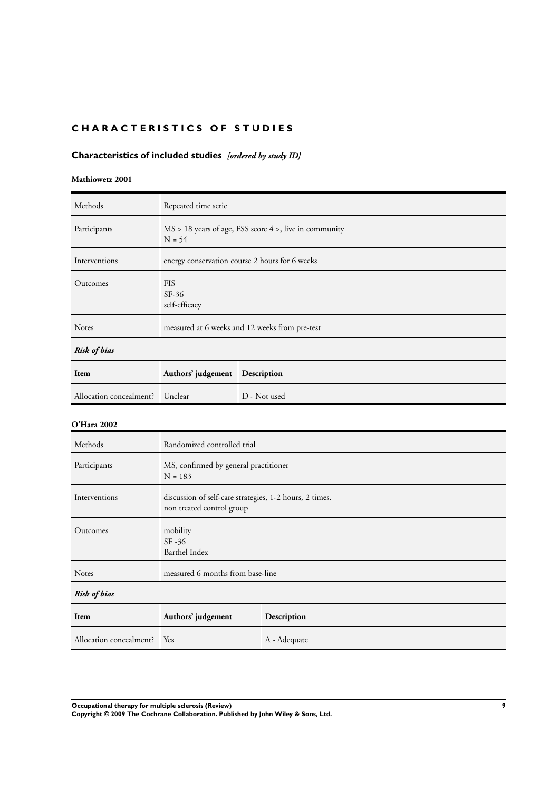# <span id="page-10-0"></span>**CHARACTERISTICS OF STUDIES**

# **Characteristics of included studies** *[ordered by study ID]*

# **Mathiowetz 2001**

| Methods                 | Repeated time serie                                                                  |                                                             |  |  |
|-------------------------|--------------------------------------------------------------------------------------|-------------------------------------------------------------|--|--|
| Participants            | $N = 54$                                                                             | $MS > 18$ years of age, FSS score $4 >$ , live in community |  |  |
| Interventions           |                                                                                      | energy conservation course 2 hours for 6 weeks              |  |  |
| Outcomes                | <b>FIS</b><br>SF-36<br>self-efficacy                                                 |                                                             |  |  |
| Notes                   |                                                                                      | measured at 6 weeks and 12 weeks from pre-test              |  |  |
| Risk of bias            |                                                                                      |                                                             |  |  |
| Item                    | Authors' judgement<br>Description                                                    |                                                             |  |  |
| Allocation concealment? | Unclear                                                                              | D - Not used                                                |  |  |
| O'Hara 2002             |                                                                                      |                                                             |  |  |
| Methods                 | Randomized controlled trial                                                          |                                                             |  |  |
| Participants            | MS, confirmed by general practitioner<br>$N = 183$                                   |                                                             |  |  |
| Interventions           | discussion of self-care strategies, 1-2 hours, 2 times.<br>non treated control group |                                                             |  |  |
| Outcomes                | mobility<br>SF-36<br>Barthel Index                                                   |                                                             |  |  |
| Notes                   | measured 6 months from base-line                                                     |                                                             |  |  |

| Risk of bias                |                    |              |  |
|-----------------------------|--------------------|--------------|--|
| Item                        | Authors' judgement | Description  |  |
| Allocation concealment? Yes |                    | A - Adequate |  |

**Occupational therapy for multiple sclerosis (Review) 9**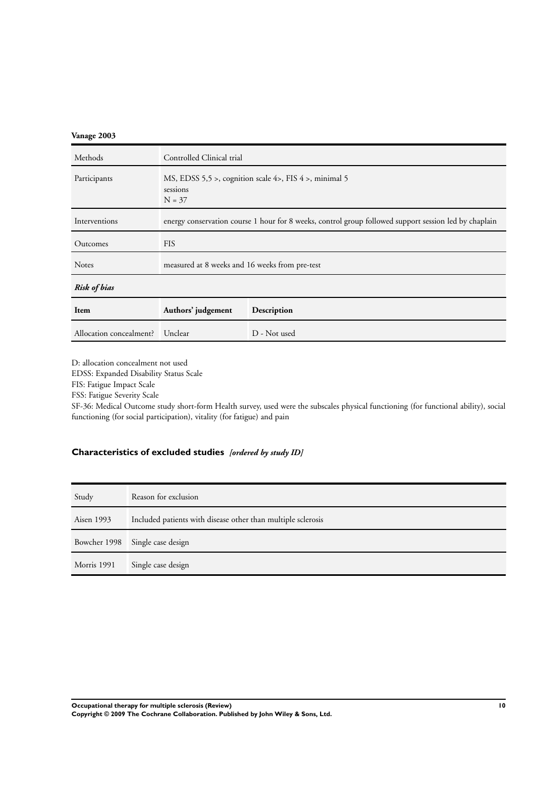# <span id="page-11-0"></span>**Vanage 2003**

| Methods                 | Controlled Clinical trial                                                                             |              |  |
|-------------------------|-------------------------------------------------------------------------------------------------------|--------------|--|
| Participants            | MS, EDSS 5,5 >, cognition scale 4>, FIS 4 >, minimal 5<br>sessions<br>$N = 37$                        |              |  |
| Interventions           | energy conservation course 1 hour for 8 weeks, control group followed support session led by chaplain |              |  |
| Outcomes                | <b>FIS</b>                                                                                            |              |  |
| <b>Notes</b>            | measured at 8 weeks and 16 weeks from pre-test                                                        |              |  |
| <b>Risk of bias</b>     |                                                                                                       |              |  |
| Item                    | Authors' judgement<br>Description                                                                     |              |  |
| Allocation concealment? | Unclear                                                                                               | D - Not used |  |

D: allocation concealment not used

EDSS: Expanded Disability Status Scale

FIS: Fatigue Impact Scale

FSS: Fatigue Severity Scale

SF-36: Medical Outcome study short-form Health survey, used were the subscales physical functioning (for functional ability), social functioning (for social participation), vitality (for fatigue) and pain

# **Characteristics of excluded studies** *[ordered by study ID]*

| Study        | Reason for exclusion                                         |
|--------------|--------------------------------------------------------------|
| Aisen 1993   | Included patients with disease other than multiple sclerosis |
| Bowcher 1998 | Single case design                                           |
| Morris 1991  | Single case design                                           |

**Occupational therapy for multiple sclerosis (Review) 10**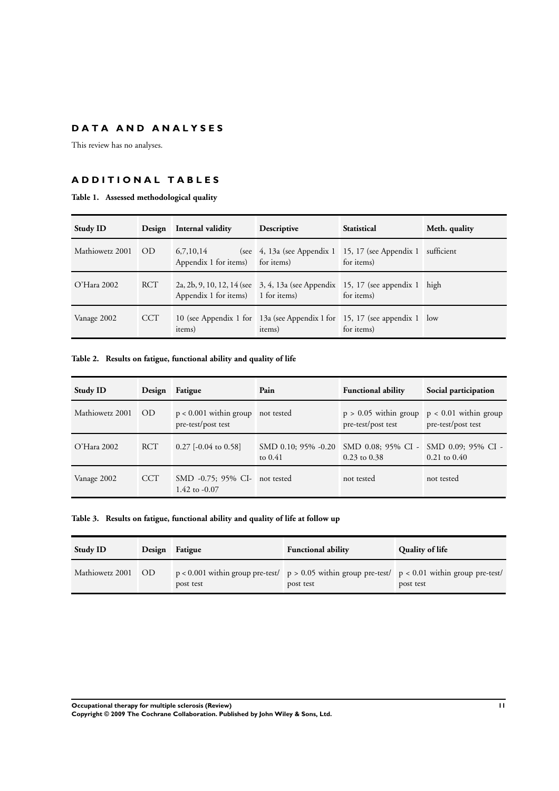# <span id="page-12-0"></span>**D A T A A N D A N A L Y S E S**

This review has no analyses.

# **A D D I T I O N A L T A B L E S**

# **Table 1. Assessed methodological quality**

| <b>Study ID</b>    |     | Design Internal validity                      | Descriptive                                                                         | <b>Statistical</b> | Meth. quality |
|--------------------|-----|-----------------------------------------------|-------------------------------------------------------------------------------------|--------------------|---------------|
| Mathiowetz 2001 OD |     | 6,7,10,14<br>Appendix 1 for items) for items) | (see $\pm$ 4, 13a (see Appendix 1 15, 17 (see Appendix 1 sufficient                 | for items)         |               |
| $O'$ Hara 2002     | RCT | Appendix 1 for items) 1 for items)            | 2a, 2b, 9, 10, 12, 14 (see 3, 4, 13a (see Appendix 15, 17 (see appendix 1 high      | for items)         |               |
| Vanage 2002        | CCT | items)                                        | 10 (see Appendix 1 for 13a (see Appendix 1 for 15, 17 (see appendix 1 low<br>items) | for items)         |               |

# **Table 2. Results on fatigue, functional ability and quality of life**

| <b>Study ID</b> | Design     | Fatigue                                                   | Pain      | <b>Functional ability</b>                                                     | Social participation                                                  |
|-----------------|------------|-----------------------------------------------------------|-----------|-------------------------------------------------------------------------------|-----------------------------------------------------------------------|
| Mathiowetz 2001 | <b>OD</b>  | $p < 0.001$ within group not tested<br>pre-test/post test |           | pre-test/post test                                                            | $p > 0.05$ within group $p < 0.01$ within group<br>pre-test/post test |
| $O'$ Hara 2002  | <b>RCT</b> | $0.27$ [-0.04 to 0.58]                                    | to $0.41$ | SMD 0.10; 95% -0.20 SMD 0.08; 95% CI - SMD 0.09; 95% CI -<br>$0.23$ to $0.38$ | $0.21 \text{ to } 0.40$                                               |
| Vanage 2002     | CCT        | SMD -0.75; 95% CI- not tested<br>1.42 to $-0.07$          |           | not tested                                                                    | not tested                                                            |

# **Table 3. Results on fatigue, functional ability and quality of life at follow up**

| <b>Study ID</b>    | Design Fatigue | <b>Functional ability</b>                                                                                           | Quality of life |
|--------------------|----------------|---------------------------------------------------------------------------------------------------------------------|-----------------|
| Mathiowetz 2001 OD | post test      | $p < 0.001$ within group pre-test/ $p > 0.05$ within group pre-test/ $p < 0.01$ within group pre-test/<br>post test | post test       |

**Occupational therapy for multiple sclerosis (Review) 11**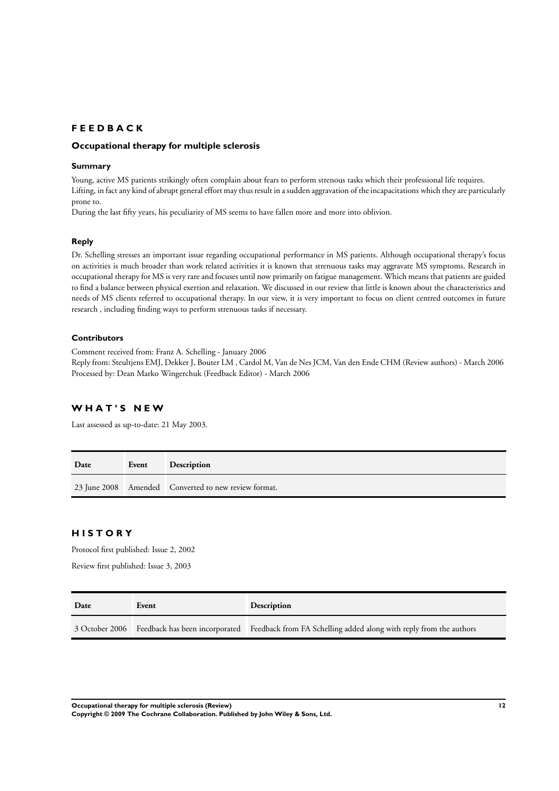# **F E E D B A C K**

# **Occupational therapy for multiple sclerosis**

## **Summary**

Young, active MS patients strikingly often complain about fears to perform strenous tasks which their professional life requires. Lifting, in fact any kind of abrupt general effort may thus result in a sudden aggravation of the incapacitations which they are particularly prone to.

During the last fifty years, his peculiarity of MS seems to have fallen more and more into oblivion.

# **Reply**

Dr. Schelling stresses an important issue regarding occupational performance in MS patients. Although occupational therapy's focus on activities is much broader than work related activities it is known that strenuous tasks may aggravate MS symptoms. Research in occupational therapy for MS is very rare and focuses until now primarily on fatigue management. Which means that patients are guided to find a balance between physical exertion and relaxation. We discussed in our review that little is known about the characteristics and needs of MS clients referred to occupational therapy. In our view, it is very important to focus on client centred outcomes in future research , including finding ways to perform strenuous tasks if necessary.

# **Contributors**

Comment received from: Franz A. Schelling - January 2006

Reply from: Steultjens EMJ, Dekker J, Bouter LM , Cardol M, Van de Nes JCM, Van den Ende CHM (Review authors) - March 2006 Processed by: Dean Marko Wingerchuk (Feedback Editor) - March 2006

# **W H A T ' S N E W**

Last assessed as up-to-date: 21 May 2003.

| Date | Event | Description                                          |
|------|-------|------------------------------------------------------|
|      |       | 23 June 2008 Amended Converted to new review format. |

# **H I S T O R Y**

Protocol first published: Issue 2, 2002 Review first published: Issue 3, 2003

| Date | Event | Description                                                                                                      |  |
|------|-------|------------------------------------------------------------------------------------------------------------------|--|
|      |       | 3 October 2006 Feedback has been incorporated Feedback from FA Schelling added along with reply from the authors |  |

**Occupational therapy for multiple sclerosis (Review) 12**